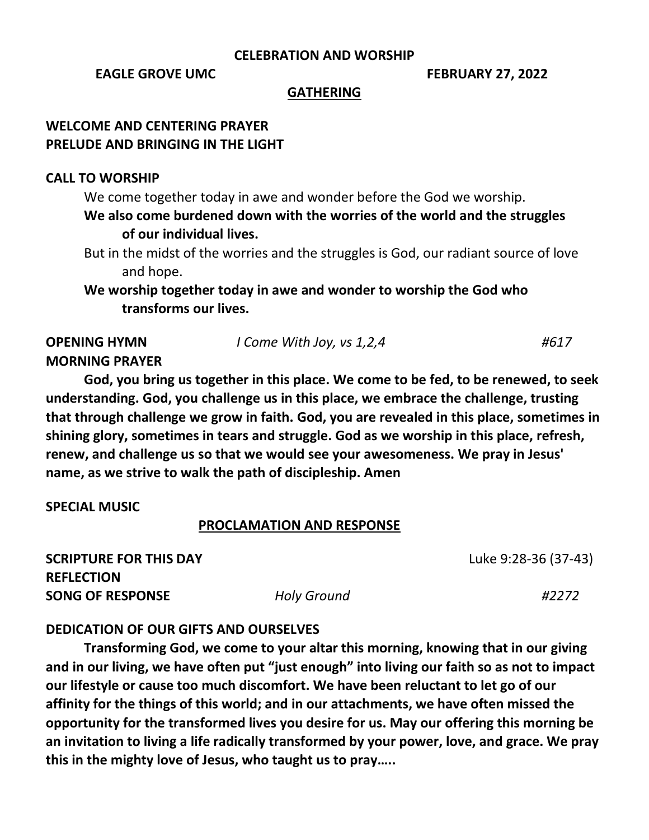# **CELEBRATION AND WORSHIP**

# **EAGLE GROVE UMC** FEBRUARY 27, 2022

#### **GATHERING**

# **WELCOME AND CENTERING PRAYER PRELUDE AND BRINGING IN THE LIGHT**

# **CALL TO WORSHIP**

We come together today in awe and wonder before the God we worship. **We also come burdened down with the worries of the world and the struggles of our individual lives.**

But in the midst of the worries and the struggles is God, our radiant source of love and hope.

**We worship together today in awe and wonder to worship the God who transforms our lives.**

# **MORNING PRAYER**

**God, you bring us together in this place. We come to be fed, to be renewed, to seek understanding. God, you challenge us in this place, we embrace the challenge, trusting that through challenge we grow in faith. God, you are revealed in this place, sometimes in shining glory, sometimes in tears and struggle. God as we worship in this place, refresh, renew, and challenge us so that we would see your awesomeness. We pray in Jesus' name, as we strive to walk the path of discipleship. Amen**

# **SPECIAL MUSIC**

#### **PROCLAMATION AND RESPONSE**

**SCRIPTURE FOR THIS DAY** Luke [9:28-36](https://lectionary.library.vanderbilt.edu/texts.php?id=116#gospel_reading) (37-43) **REFLECTION SONG OF RESPONSE** *Holy Ground #2272*

# **DEDICATION OF OUR GIFTS AND OURSELVES**

**Transforming God, we come to your altar this morning, knowing that in our giving and in our living, we have often put "just enough" into living our faith so as not to impact our lifestyle or cause too much discomfort. We have been reluctant to let go of our affinity for the things of this world; and in our attachments, we have often missed the opportunity for the transformed lives you desire for us. May our offering this morning be an invitation to living a life radically transformed by your power, love, and grace. We pray this in the mighty love of Jesus, who taught us to pray…..**